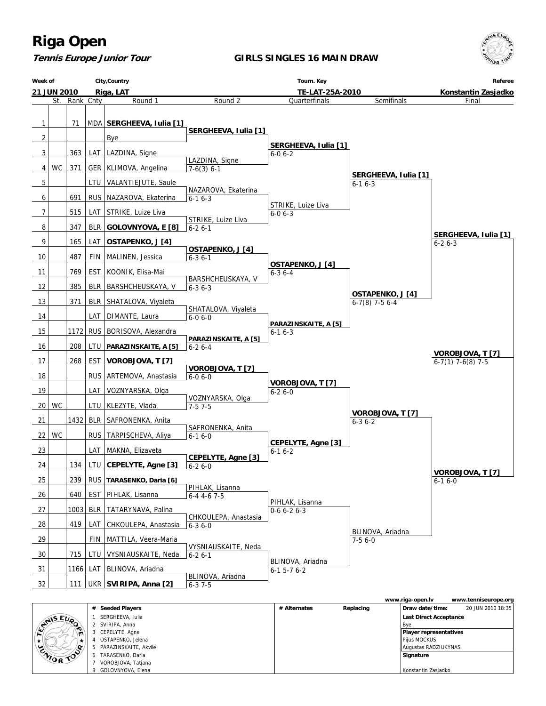**Tennis Europe Junior Tour**

#### **GIRLS SINGLES 16 MAIN DRAW**



|  |                  |              |                       |              |           | www.riga-open.lv              | www.tenniseurope.org |
|--|------------------|--------------|-----------------------|--------------|-----------|-------------------------------|----------------------|
|  |                  | #            | <b>Seeded Players</b> | # Alternates | Replacing | Draw date/time:               | 20 JUN 2010 18:35    |
|  |                  |              | SERGHEEVA, Iulia      |              |           | Last Direct Acceptance        |                      |
|  | <b>STAIS EUP</b> |              | 2 SVIRIPA, Anna       |              |           | l Bve                         |                      |
|  |                  |              | CEPELYTE, Agne        |              |           | <b>Player representatives</b> |                      |
|  | $\cdot$          |              | OSTAPENKO, Jelena     |              |           | Pijus MOCKUS                  |                      |
|  |                  |              | PARAZINSKAITE, Akvile |              |           | Augustas RADZIUKYNAS          |                      |
|  | ENIOR TOO        | <sub>0</sub> | TARASENKO, Daria      |              |           | Signature                     |                      |
|  |                  |              | VOROBJOVA, Tatjana    |              |           |                               |                      |
|  |                  |              | 8 GOLOVNYOVA, Elena   |              |           | Konstantin Zasjadko           |                      |

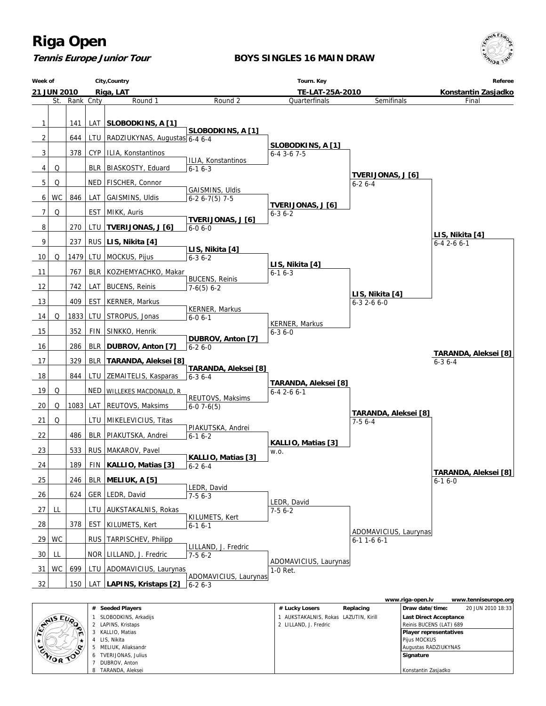**Tennis Europe Junior Tour**

**BOYS SINGLES 16 MAIN DRAW**



|           |                      |                                     |           | www.riga-open.lv              | www.tenniseurope.org |
|-----------|----------------------|-------------------------------------|-----------|-------------------------------|----------------------|
|           | # Seeded Players     | # Lucky Losers                      | Replacing | Draw date/time:               | 20 JUN 2010 18:33    |
| CHAIS EUP | SLOBODKINS, Arkadijs | AUKSTAKALNIS, Rokas LAZUTIN, Kirill |           | Last Direct Acceptance        |                      |
|           | 2 LAPINS, Kristaps   | 2 LILLAND, J. Fredric               |           | Reinis BUCENS (LAT) 689       |                      |
| ∼         | KALLIO, Matias       |                                     |           | <b>Player representatives</b> |                      |
|           | 4 LIS, Nikita        |                                     |           | Pijus MOCKUS                  |                      |
| ⁄.∝       | MELIUK, Aliaksandr   |                                     |           | Augustas RADZIUKYNAS          |                      |
| ENIOR TOP | TVERIJONAS, Julius   |                                     |           | Signature                     |                      |
|           | DUBROV, Anton        |                                     |           |                               |                      |
|           | TARANDA, Aleksei     |                                     |           | Konstantin Zasjadko           |                      |

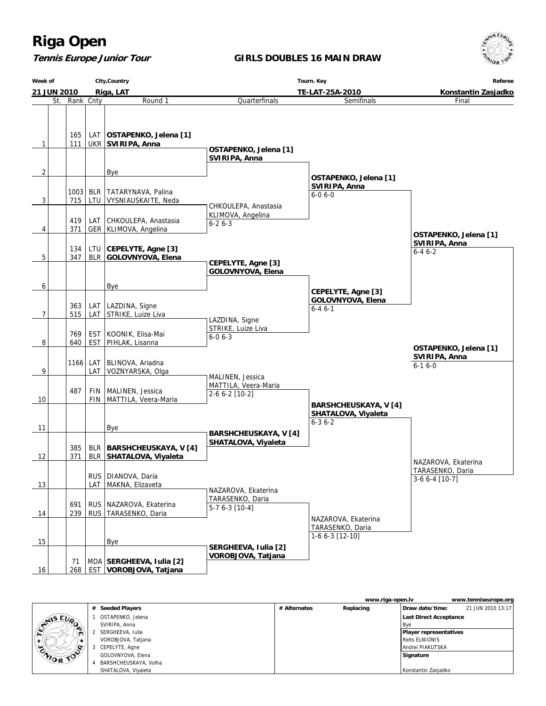### **Tennis Europe Junior Tour**

### **GIRLS DOUBLES 16 MAIN DRAW**



| Week of<br>City, Country<br>21 JUN 2010<br>Riga, LAT |             |                          |                                                          | Tourn. Key                                                 | Referee<br>Konstantin Zasjadko                                     |                                                           |
|------------------------------------------------------|-------------|--------------------------|----------------------------------------------------------|------------------------------------------------------------|--------------------------------------------------------------------|-----------------------------------------------------------|
|                                                      |             |                          |                                                          | TE-LAT-25A-2010                                            |                                                                    |                                                           |
| St.<br>Rank Cnty                                     |             |                          | Round 1                                                  | Quarterfinals                                              | Final                                                              |                                                           |
| $\mathbf{1}$                                         | 165<br>111  | LAT                      | OSTAPENKO, Jelena [1]<br>UKR SVIRIPA, Anna               | OSTAPENKO, Jelena [1]<br>SVIRIPA, Anna                     |                                                                    |                                                           |
| 2                                                    |             |                          | Bye                                                      |                                                            |                                                                    |                                                           |
| 3                                                    | 1003<br>715 | BLR                      | TATARYNAVA, Palina<br>LTU VYSNIAUSKAITE, Neda            | CHKOULEPA, Anastasia                                       | OSTAPENKO, Jelena [1]<br>SVIRIPA, Anna<br>$6 - 06 - 0$             |                                                           |
|                                                      | 419         | LAT                      | CHKOULEPA, Anastasia                                     | KLIMOVA, Angelina<br>$6 - 26 - 3$                          |                                                                    |                                                           |
| 4                                                    | 371         |                          | GER KLIMOVA, Angelina                                    |                                                            |                                                                    | OSTAPENKO, Jelena [1]<br>SVIRIPA, Anna                    |
| 5                                                    | 134<br>347  | LTU<br><b>BLR</b>        | CEPELYTE, Agne [3]<br>GOLOVNYOVA, Elena                  |                                                            |                                                                    | $6 - 46 - 2$                                              |
|                                                      |             |                          |                                                          | CEPELYTE, Agne [3]<br>GOLOVNYOVA, Elena                    |                                                                    |                                                           |
| 6                                                    |             |                          | Bye                                                      |                                                            | CEPELYTE, Agne [3]                                                 |                                                           |
| 7                                                    | 363<br>515  |                          | LAT   LAZDINA, Signe<br>LAT STRIKE, Luize Liva           |                                                            | GOLOVNYOVA, Elena<br>$6 - 46 - 1$                                  |                                                           |
| 8                                                    | 769<br>640  | <b>EST</b><br><b>EST</b> | KOONIK, Elisa-Mai<br>PIHLAK, Lisanna                     | LAZDINA, Signe<br>STRIKE, Luize Liva<br>$6 - 06 - 3$       |                                                                    |                                                           |
| 9                                                    | 1166        | LAT<br>LAT               | BLINOVA, Ariadna<br>VOZNYARSKA, Olga                     |                                                            |                                                                    | OSTAPENKO, Jelena [1]<br>SVIRIPA, Anna<br>$6-16-0$        |
| 10                                                   | 487         | <b>FIN</b>               | MALINEN, Jessica<br>FIN   MATTILA, Veera-Maria           | MALINEN, Jessica<br>MATTILA, Veera-Maria<br>2-6 6-2 [10-2] |                                                                    |                                                           |
| 11                                                   |             |                          | Bye                                                      |                                                            | <b>BARSHCHEUSKAYA, V[4]</b><br>SHATALOVA, Viyaleta<br>$6 - 36 - 2$ |                                                           |
| 12                                                   | 385<br>371  |                          | BLR   BARSHCHEUSKAYA, V [4]<br>BLR   SHATALOVA, Viyaleta | <b>BARSHCHEUSKAYA, V[4]</b><br><b>SHATALOVA, Viyaleta</b>  |                                                                    |                                                           |
| 13                                                   |             |                          | RUS   DIANOVA, Daria<br>LAT   MAKNA, Elizaveta           |                                                            |                                                                    | NAZAROVA, Ekaterina<br>TARASENKO, Daria<br>3-6 6-4   10-7 |
| 14                                                   | 691<br>239  | <b>RUS</b>               | RUS   NAZAROVA, Ekaterina<br>TARASENKO, Daria            | NAZAROVA, Ekaterina<br>TARASENKO, Daria<br>$5-76-3$ [10-4] |                                                                    |                                                           |
| 15                                                   |             |                          | Bye                                                      |                                                            | NAZAROVA, Ekaterina<br>TARASENKO, Daria<br>1-6 6-3 [12-10]         |                                                           |
| 16                                                   | 71<br>268   |                          | MDA SERGHEEVA, Iulia [2]<br>EST VOROBJOVA, Tatjana       | SERGHEEVA, Iulia [2]<br>VOROBJOVA, Tatjana                 |                                                                    |                                                           |

|  |           |                       |              | www.riga-open.lv |                               | www.tenniseurope.org |
|--|-----------|-----------------------|--------------|------------------|-------------------------------|----------------------|
|  |           | # Seeded Players      | # Alternates | Replacing        | Draw date/time:               | 21 JUN 2010 13:17    |
|  | ENTIS EUR | OSTAPENKO, Jelena     |              |                  | <b>Last Direct Acceptance</b> |                      |
|  |           | SVIRIPA, Anna         |              |                  | <b>B</b> ve                   |                      |
|  |           | 2 SERGHEEVA, Iulia    |              |                  | Player representatives        |                      |
|  |           | VOROBJOVA, Tatjana    |              |                  | Reits ELNIONIS                |                      |
|  |           | 3 CEPELYTE, Agne      |              |                  | l Andrei PIAKUTSKA            |                      |
|  | ENIOR TOP | GOLOVNYOVA, Elena     |              |                  | Signature                     |                      |
|  |           | BARSHCHEUSKAYA, Volha |              |                  |                               |                      |
|  |           | SHATALOVA, Viyaleta   |              |                  | Konstantin Zasjadko           |                      |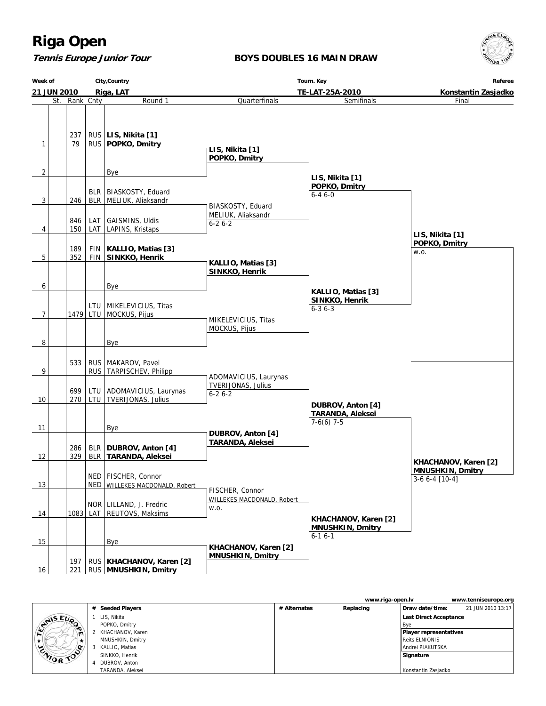### **Tennis Europe Junior Tour**

### **BOYS DOUBLES 16 MAIN DRAW**



| Week of                  | City, Country |            |                                                         | Tourn. Key                                                  | Referee                                              |                                            |
|--------------------------|---------------|------------|---------------------------------------------------------|-------------------------------------------------------------|------------------------------------------------------|--------------------------------------------|
| 21 JUN 2010<br>Riga, LAT |               |            |                                                         |                                                             | Konstantin Zasjadko                                  |                                            |
| St.                      |               | Rank Cnty  | Round 1                                                 | Quarterfinals                                               | TE-LAT-25A-2010<br>Semifinals                        | Final                                      |
| $\mathbf{1}$             | 237<br>79     |            | RUS   LIS, Nikita [1]<br>RUS   POPKO, Dmitry            | LIS, Nikita [1]<br>POPKO, Dmitry                            |                                                      |                                            |
| $\overline{c}$           |               |            | Bye                                                     |                                                             |                                                      |                                            |
| 3                        | 246           |            | BLR   BIASKOSTY, Eduard<br>BLR   MELIUK, Aliaksandr     | BIASKOSTY, Eduard                                           | LIS, Nikita [1]<br>POPKO, Dmitry<br>$6 - 46 - 0$     |                                            |
|                          | 846           | LAT        | GAISMINS, Uldis                                         | MELIUK, Aliaksandr                                          |                                                      |                                            |
| 4                        | 150           |            | LAT LAPINS, Kristaps                                    | $6 - 26 - 2$                                                |                                                      |                                            |
|                          |               |            |                                                         |                                                             |                                                      | LIS, Nikita [1]<br>POPKO, Dmitry           |
|                          | 189           | <b>FIN</b> | KALLIO, Matias [3]                                      |                                                             |                                                      | W.O.                                       |
| 5                        | 352           |            | FIN SINKKO, Henrik                                      | KALLIO, Matias [3]<br>SINKKO, Henrik                        |                                                      |                                            |
| 6                        |               |            | Bye                                                     |                                                             |                                                      |                                            |
| 7                        |               |            | LTU   MIKELEVICIUS, Titas<br>1479 LTU MOCKUS, Pijus     | MIKELEVICIUS, Titas                                         | KALLIO, Matias [3]<br>SINKKO, Henrik<br>$6 - 36 - 3$ |                                            |
| 8                        |               |            | Bye                                                     | MOCKUS, Pijus                                               |                                                      |                                            |
| 9                        | 533           |            | RUS   MAKAROV, Pavel<br>RUS   TARPISCHEV, Philipp       |                                                             |                                                      |                                            |
| 10                       | 699<br>270    | LTU        | ADOMAVICIUS, Laurynas<br>LTU   TVERIJONAS, Julius       | ADOMAVICIUS, Laurynas<br>TVERIJONAS, Julius<br>$6 - 26 - 2$ | DUBROV, Anton [4]                                    |                                            |
| 11                       |               |            | Bye                                                     | DUBROV, Anton [4]                                           | <b>TARANDA, Aleksei</b><br>$7-6(6)$ 7-5              |                                            |
| 12                       | 286<br>329    |            | BLR   DUBROV, Anton [4]<br>BLR   TARANDA, Aleksei       | <b>TARANDA, Aleksei</b>                                     |                                                      | KHACHANOV, Karen [2]                       |
| 13                       |               |            | NED   FISCHER, Connor<br>NED WILLEKES MACDONALD, Robert |                                                             |                                                      | <b>MNUSHKIN, Dmitry</b><br>$3-66-4$   10-4 |
| 14                       |               |            | NOR   LILLAND, J. Fredric<br>1083 LAT REUTOVS, Maksims  | FISCHER, Connor<br>WILLEKES MACDONALD, Robert<br>W.O.       | KHACHANOV, Karen [2]                                 |                                            |
| 15                       |               |            | Bye                                                     | KHACHANOV, Karen [2]                                        | <b>MNUSHKIN, Dmitry</b><br>$6 - 16 - 1$              |                                            |
| 16                       | 197<br>221    |            | RUS   KHACHANOV, Karen [2]<br>RUS MNUSHKIN, Dmitry      | <b>MNUSHKIN, Dmitry</b>                                     |                                                      |                                            |

|  |                 |                    |              | www.riga-open.ly |                               | www.tenniseurope.org |
|--|-----------------|--------------------|--------------|------------------|-------------------------------|----------------------|
|  |                 | # Seeded Players   | # Alternates | Replacing        | Draw date/time:               | 21 JUN 2010 13:17    |
|  | EU <sub>0</sub> | LIS, Nikita        |              |                  | <b>Last Direct Acceptance</b> |                      |
|  | EXNIS           | POPKO, Dmitry      |              |                  | l Bve                         |                      |
|  | ∼<br>$\sqrt{2}$ | 2 KHACHANOV, Karen |              |                  | Player representatives        |                      |
|  |                 | MNUSHKIN, Dmitry   |              |                  | Reits ELNIONIS                |                      |
|  |                 | KALLIO, Matias     |              |                  | Andrei PIAKUTSKA              |                      |
|  | CAIOR TOO       | SINKKO, Henrik     |              |                  | Signature                     |                      |
|  |                 | DUBROV, Anton      |              |                  |                               |                      |
|  |                 | TARANDA, Aleksei   |              |                  | Konstantin Zasjadko           |                      |